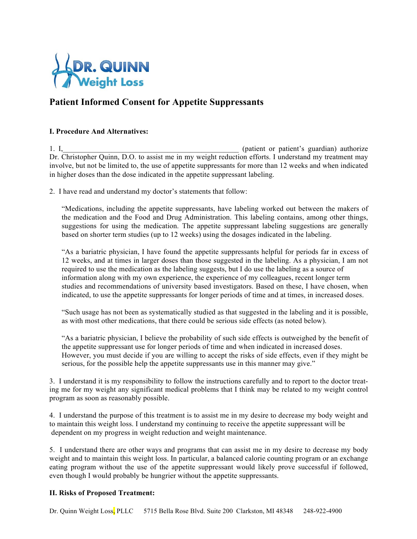

# **Patient Informed Consent for Appetite Suppressants**

# **I. Procedure And Alternatives:**

1. I, the contract of the contract of the contract of patient's guardian) authorize in the contract of patient or patient's guardian) authorize Dr. Christopher Quinn, D.O. to assist me in my weight reduction efforts. I understand my treatment may involve, but not be limited to, the use of appetite suppressants for more than 12 weeks and when indicated in higher doses than the dose indicated in the appetite suppressant labeling.

2. I have read and understand my doctor's statements that follow:

"Medications, including the appetite suppressants, have labeling worked out between the makers of the medication and the Food and Drug Administration. This labeling contains, among other things, suggestions for using the medication. The appetite suppressant labeling suggestions are generally based on shorter term studies (up to 12 weeks) using the dosages indicated in the labeling.

"As a bariatric physician, I have found the appetite suppressants helpful for periods far in excess of 12 weeks, and at times in larger doses than those suggested in the labeling. As a physician, I am not required to use the medication as the labeling suggests, but I do use the labeling as a source of information along with my own experience, the experience of my colleagues, recent longer term studies and recommendations of university based investigators. Based on these, I have chosen, when indicated, to use the appetite suppressants for longer periods of time and at times, in increased doses.

"Such usage has not been as systematically studied as that suggested in the labeling and it is possible, as with most other medications, that there could be serious side effects (as noted below).

"As a bariatric physician, I believe the probability of such side effects is outweighed by the benefit of the appetite suppressant use for longer periods of time and when indicated in increased doses. However, you must decide if you are willing to accept the risks of side effects, even if they might be serious, for the possible help the appetite suppressants use in this manner may give."

3. I understand it is my responsibility to follow the instructions carefully and to report to the doctor treating me for my weight any significant medical problems that I think may be related to my weight control program as soon as reasonably possible.

4. I understand the purpose of this treatment is to assist me in my desire to decrease my body weight and to maintain this weight loss. I understand my continuing to receive the appetite suppressant will be dependent on my progress in weight reduction and weight maintenance.

5. I understand there are other ways and programs that can assist me in my desire to decrease my body weight and to maintain this weight loss. In particular, a balanced calorie counting program or an exchange eating program without the use of the appetite suppressant would likely prove successful if followed, even though I would probably be hungrier without the appetite suppressants.

# **II. Risks of Proposed Treatment:**